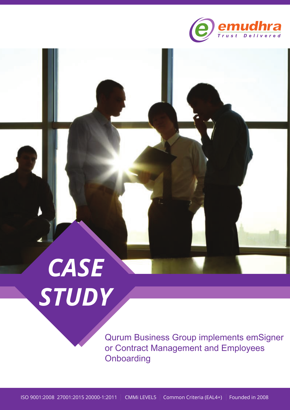

# *CASE STUDY*

Qurum Business Group implements emSigner or Contract Management and Employees **Onboarding**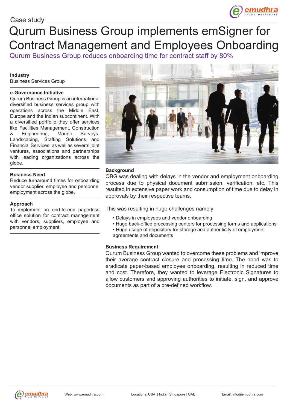### Case study

# Qurum Business Group implements emSigner for Contract Management and Employees Onboarding

Qurum Business Group reduces onboarding time for contract staff by 80%

#### **Industry**

Business Services Group

#### **e-Governance Initiative**

Qurum Business Group is an international diversified business services group with operations across the Middle East, Europe and the Indian subcontinent. With a diversified portfolio they offer services like Facilities Management, Construction & Engineering, Marine Surveys, Landscaping, Staffing Solutions and Financial Services, as well as several joint ventures, associations and partnerships with leading organizations across the globe.

#### **Business Need**

Reduce turnaround times for onboarding vendor supplier, employee and personnel employment across the globe.

#### **Approach**

To implement an end-to-end paperless office solution for contract management with vendors, suppliers, employee and personnel employment.



#### **Background**

QBG was dealing with delays in the vendor and employment onboarding process due to physical document submission, verification, etc. This resulted in extensive paper work and consumption of time due to delay in approvals by their respective teams.

This was resulting in huge challenges namely:

- Delays in employees and vendor onboarding
- Huge back-office processing centers for processing forms and applications
- Huge usage of depository for storage and authenticity of employment agreements and documents

#### **Business Requirement**

Qurum Business Group wanted to overcome these problems and improve their average contract closure and processing time. The need was to eradicate paper-based employee onboarding, resulting in reduced time and cost. Therefore, they wanted to leverage Electronic Signatures to allow customers and approving authorities to initiate, sign, and approve documents as part of a pre-defined workflow.

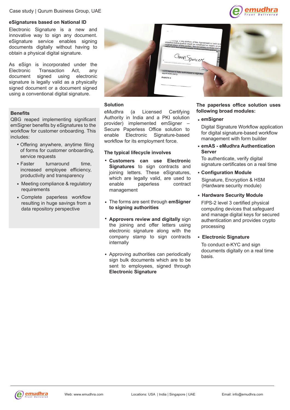#### **eSignatures based on National ID**

Electronic Signature is a new and innovative way to sign any document. eSignature service enables signing documents digitally without having to obtain a physical digital signature.

As eSign is incorporated under the Electronic Transaction Act, any document signed using electronic signature is legally valid as a physically signed document or a document signed using a conventional digital signature.

#### **Benefits**

QBG reaped implementing significant emSigner benefits by eSignatures to the workflow for customer onboarding. This includes:

- Offering anywhere, anytime filing of forms for customer onboarding, service requests
- Faster turnaround time. increased employee efficiency, productivity and transparency
- Meeting compliance & regulatory requirements
- Complete paperless workflow resulting in huge savings from a data repository perspective



#### **Solution**

eMudhra (a Licensed Certifying Authority in India and a PKI solution provider) implemented emSigner – Secure Paperless Office solution to enable Electronic Signature-based workflow for its employment force.

#### **The typical lifecycle involves**

- **Customers can use Electronic Signatures** to sign contracts and joining letters. These eSignatures, which are legally valid, are used to enable paperless contract management
- The forms are sent through **emSigner to signing authorities**
- **Approvers review and digitally** sign the joining and offer letters using electronic signature along with the company stamp to sign contracts internally
- Approving authorities can periodically sign bulk documents which are to be sent to employees, signed through **Electronic Signature**



mudhra

#### **emSigner**

Digital Signature Workflow application for digital signature-based workflow management with form builder

**emAS - eMudhra Authentication Server**

To authenticate, verify digital signature certificates on a real time

- **Configuration Module** Signature, Encryption & HSM (Hardware security module)
- **Hardware Security Module**

FIPS-2 level 3 certified physical computing devices that safeguard and manage digital keys for secured authentication and provides crypto processing

**Electronic Signature**

To conduct e-KYC and sign documents digitally on a real time basis.